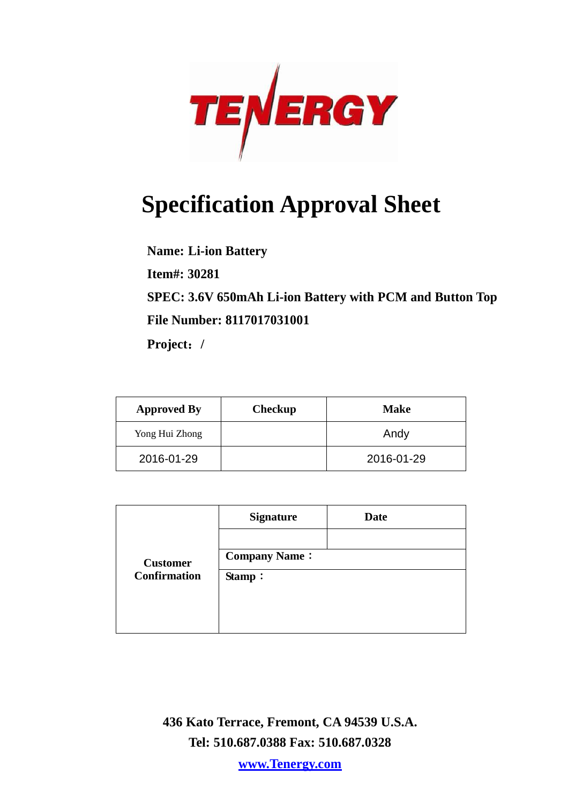

# **Specification Approval Sheet**

**Name: Li-ion Battery**

**Item#: 30281**

**SPEC: 3.6V 650mAh Li-ion Battery with PCM and Button Top File Number: 8117017031001**

**Project**:**/**

| <b>Approved By</b> | Checkup | <b>Make</b> |
|--------------------|---------|-------------|
| Yong Hui Zhong     |         | Andy        |
| 2016-01-29         |         | 2016-01-29  |

|                     | <b>Signature</b>     | <b>Date</b> |
|---------------------|----------------------|-------------|
|                     |                      |             |
| <b>Customer</b>     | <b>Company Name:</b> |             |
| <b>Confirmation</b> | Stamp:               |             |
|                     |                      |             |
|                     |                      |             |
|                     |                      |             |

**436 Kato Terrace, Fremont, CA 94539 U.S.A. Tel: 510.687.0388 Fax: 510.687.0328**

**www.Tenergy.com**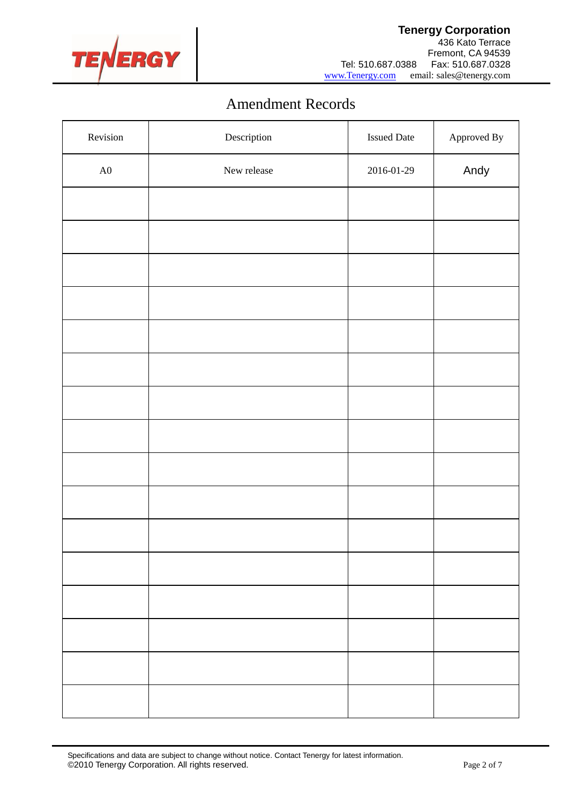

## Amendment Records

| Revision   | $\label{eq:2} \textbf{Description}$ | <b>Issued Date</b> | Approved By |
|------------|-------------------------------------|--------------------|-------------|
| ${\rm A0}$ | New release                         | 2016-01-29         | Andy        |
|            |                                     |                    |             |
|            |                                     |                    |             |
|            |                                     |                    |             |
|            |                                     |                    |             |
|            |                                     |                    |             |
|            |                                     |                    |             |
|            |                                     |                    |             |
|            |                                     |                    |             |
|            |                                     |                    |             |
|            |                                     |                    |             |
|            |                                     |                    |             |
|            |                                     |                    |             |
|            |                                     |                    |             |
|            |                                     |                    |             |
|            |                                     |                    |             |
|            |                                     |                    |             |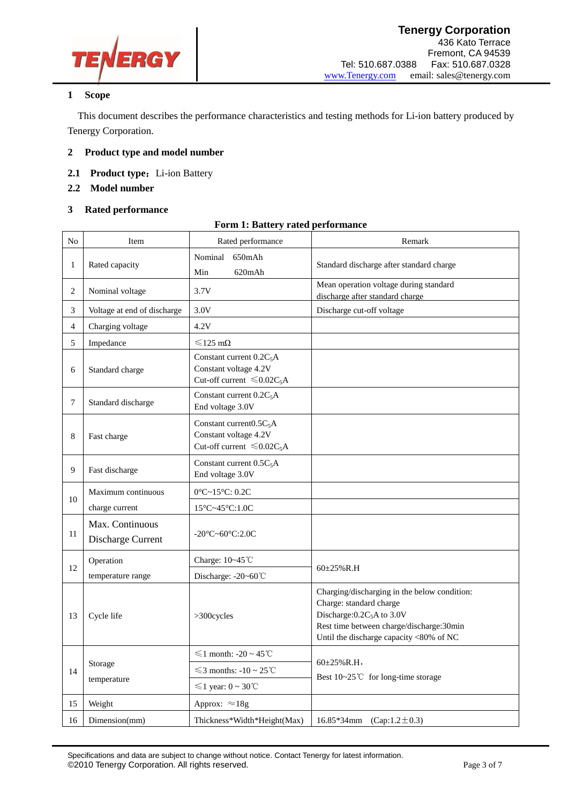

#### **1 Scope**

This document describes the performance characteristics and testing methods for Li-ion battery produced by Tenergy Corporation.

- **2 Product type and model number**
- 2.1 Product type: Li-ion Battery
- **2.2 Model number**
- **3 Rated performance**

|  |  |  |  |  | <b>Form 1: Battery rated performance</b> |
|--|--|--|--|--|------------------------------------------|
|--|--|--|--|--|------------------------------------------|

| No             | Item                                 | Rated performance                                                                      | Remark                                                                                                                                                                                                   |
|----------------|--------------------------------------|----------------------------------------------------------------------------------------|----------------------------------------------------------------------------------------------------------------------------------------------------------------------------------------------------------|
| $\mathbf{1}$   | Rated capacity                       | Nominal<br>650mAh<br>Min<br>620mAh                                                     | Standard discharge after standard charge                                                                                                                                                                 |
| $\overline{2}$ | Nominal voltage                      | 3.7V                                                                                   | Mean operation voltage during standard<br>discharge after standard charge                                                                                                                                |
| 3              | Voltage at end of discharge          | 3.0V                                                                                   | Discharge cut-off voltage                                                                                                                                                                                |
| $\overline{4}$ | Charging voltage                     | 4.2V                                                                                   |                                                                                                                                                                                                          |
| 5              | Impedance                            | $\leq 125$ m $\Omega$                                                                  |                                                                                                                                                                                                          |
| 6              | Standard charge                      | Constant current $0.2C_5A$<br>Constant voltage 4.2V<br>Cut-off current $\leq 0.02C_5A$ |                                                                                                                                                                                                          |
| $\tau$         | Standard discharge                   | Constant current $0.2C_5A$<br>End voltage 3.0V                                         |                                                                                                                                                                                                          |
| 8              | Fast charge                          | Constant current $0.5C_5A$<br>Constant voltage 4.2V<br>Cut-off current $\leq 0.02C_5A$ |                                                                                                                                                                                                          |
| 9              | Fast discharge                       | Constant current $0.5C_5A$<br>End voltage 3.0V                                         |                                                                                                                                                                                                          |
|                | Maximum continuous                   | $0^{\circ}$ C~15 $^{\circ}$ C: 0.2C                                                    |                                                                                                                                                                                                          |
| 10             | charge current                       | 15°C~45°C:1.0C                                                                         |                                                                                                                                                                                                          |
| 11             | Max. Continuous<br>Discharge Current | $-20^{\circ}$ C $\sim$ 60 $^{\circ}$ C:2.0C                                            |                                                                                                                                                                                                          |
|                | Operation                            | Charge: 10~45°C                                                                        |                                                                                                                                                                                                          |
| 12             | temperature range                    | Discharge: -20~60°C                                                                    | $60\pm25\%$ R.H                                                                                                                                                                                          |
| 13             | Cycle life                           | >300cycles                                                                             | Charging/discharging in the below condition:<br>Charge: standard charge<br>Discharge: 0.2C <sub>5</sub> A to 3.0V<br>Rest time between charge/discharge:30min<br>Until the discharge capacity <80% of NC |
| 14             | Storage<br>temperature               | $\leq 1$ month: -20 ~ 45°C                                                             |                                                                                                                                                                                                          |
|                |                                      | $\leq$ 3 months: -10 ~ 25°C                                                            | $60\pm25\%$ R.H,<br>Best 10∼25℃ for long-time storage                                                                                                                                                    |
|                |                                      | $\leq 1$ year: $0 \sim 30^{\circ}$ C                                                   |                                                                                                                                                                                                          |
| 15             | Weight                               | Approx: $\approx 18g$                                                                  |                                                                                                                                                                                                          |
| 16             | Dimension(mm)                        | Thickness*Width*Height(Max)                                                            | 16.85*34mm (Cap:1.2±0.3)                                                                                                                                                                                 |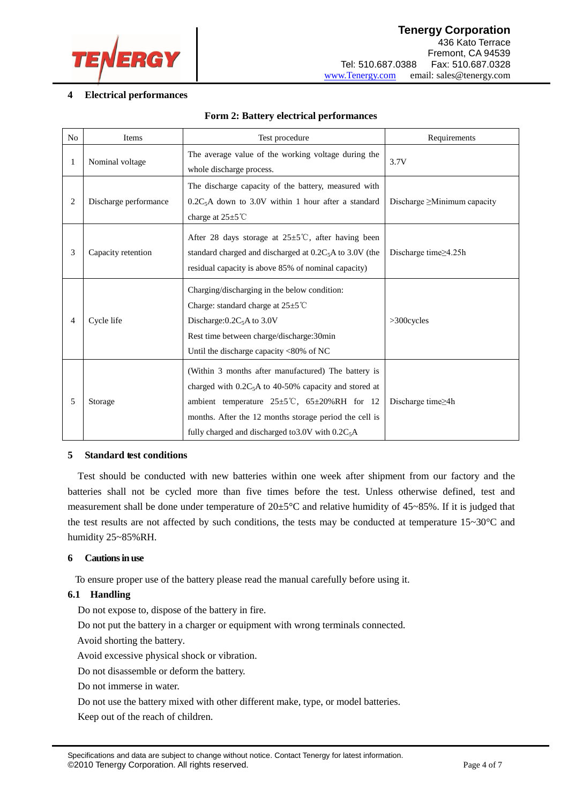

#### **4 Electrical performances**

| N <sub>o</sub> | <b>Items</b>          | Test procedure                                                                                                                                                                                                                                                                                  | Requirements                      |
|----------------|-----------------------|-------------------------------------------------------------------------------------------------------------------------------------------------------------------------------------------------------------------------------------------------------------------------------------------------|-----------------------------------|
| 1              | Nominal voltage       | The average value of the working voltage during the<br>whole discharge process.                                                                                                                                                                                                                 | 3.7V                              |
| 2              | Discharge performance | The discharge capacity of the battery, measured with<br>$0.2C_5A$ down to 3.0V within 1 hour after a standard<br>charge at $25 \pm 5^{\circ}$ C                                                                                                                                                 | Discharge $\geq$ Minimum capacity |
| 3              | Capacity retention    | After 28 days storage at $25 \pm 5^{\circ}$ C, after having been<br>standard charged and discharged at $0.2C_5A$ to 3.0V (the<br>residual capacity is above 85% of nominal capacity)                                                                                                            | Discharge time $\geq$ 4.25h       |
| 4              | Cycle life            | Charging/discharging in the below condition:<br>Charge: standard charge at $25 \pm 5^{\circ}$ C<br>Discharge: $0.2C_5A$ to 3.0V<br>Rest time between charge/discharge:30min<br>Until the discharge capacity <80% of NC                                                                          | >300cycles                        |
| 5              | Storage               | (Within 3 months after manufactured) The battery is<br>charged with $0.2C_5A$ to 40-50% capacity and stored at<br>ambient temperature $25\pm5\degree$ C, $65\pm20\%$ RH for 12<br>months. After the 12 months storage period the cell is<br>fully charged and discharged to 3.0V with $0.2C_5A$ | Discharge time≥4h                 |

#### **Form 2: Battery electrical performances**

#### **5 Standard test conditions**

Test should be conducted with new batteries within one week after shipment from our factory and the batteries shall not be cycled more than five times before the test. Unless otherwise defined, test and measurement shall be done under temperature of  $20\pm5\degree C$  and relative humidity of  $45\sim85\%$ . If it is judged that the test results are not affected by such conditions, the tests may be conducted at temperature 15~30°C and humidity 25~85%RH.

#### **6 Cautionsin use**

To ensure proper use of the battery please read the manual carefully before using it.

#### **6.1 Handling**

Do not expose to, dispose of the battery in fire.

Do not put the battery in a charger or equipment with wrong terminals connected.

Avoid shorting the battery.

Avoid excessive physical shock or vibration.

Do not disassemble or deform the battery.

Do not immerse in water.

Do not use the battery mixed with other different make, type, or model batteries.

Keep out of the reach of children.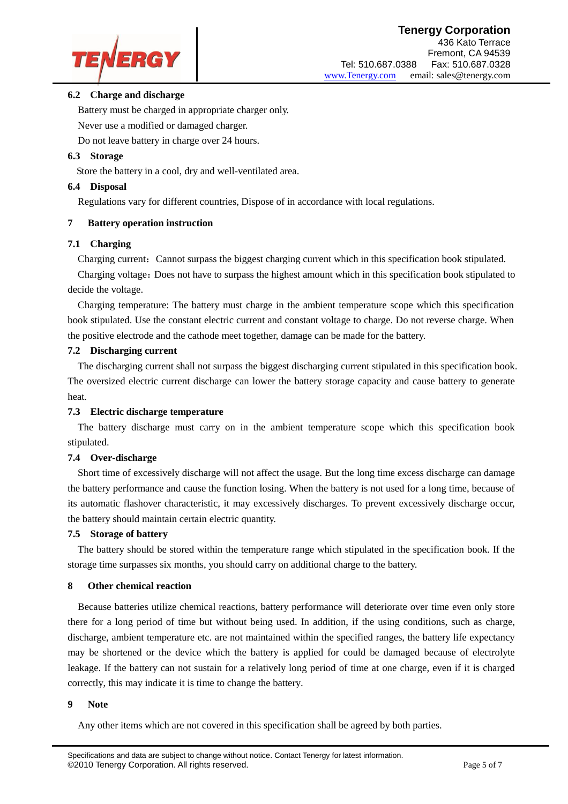

#### **6.2 Charge and discharge**

Battery must be charged in appropriate charger only.

Never use a modified or damaged charger.

Do not leave battery in charge over 24 hours.

#### **6.3 Storage**

Store the battery in a cool, dry and well-ventilated area.

#### **6.4 Disposal**

Regulations vary for different countries, Dispose of in accordance with local regulations.

#### **7 Battery operation instruction**

#### **7.1 Charging**

Charging current: Cannot surpass the biggest charging current which in this specification book stipulated.

Charging voltage:Does not have to surpass the highest amount which in this specification book stipulated to decide the voltage.

Charging temperature: The battery must charge in the ambient temperature scope which this specification book stipulated. Use the constant electric current and constant voltage to charge. Do not reverse charge. When the positive electrode and the cathode meet together, damage can be made for the battery.

#### **7.2 Discharging current**

 The discharging current shall not surpass the biggest discharging current stipulated in this specification book. The oversized electric current discharge can lower the battery storage capacity and cause battery to generate heat.

#### **7.3 Electric discharge temperature**

The battery discharge must carry on in the ambient temperature scope which this specification book stipulated.

#### **7.4 Over-discharge**

Short time of excessively discharge will not affect the usage. But the long time excess discharge can damage the battery performance and cause the function losing. When the battery is not used for a long time, because of its automatic flashover characteristic, it may excessively discharges. To prevent excessively discharge occur, the battery should maintain certain electric quantity.

#### **7.5 Storage of battery**

The battery should be stored within the temperature range which stipulated in the specification book. If the storage time surpasses six months, you should carry on additional charge to the battery.

#### **8 Other chemical reaction**

Because batteries utilize chemical reactions, battery performance will deteriorate over time even only store there for a long period of time but without being used. In addition, if the using conditions, such as charge, discharge, ambient temperature etc. are not maintained within the specified ranges, the battery life expectancy may be shortened or the device which the battery is applied for could be damaged because of electrolyte leakage. If the battery can not sustain for a relatively long period of time at one charge, even if it is charged correctly, this may indicate it is time to change the battery.

#### **9 Note**

Any other items which are not covered in this specification shall be agreed by both parties.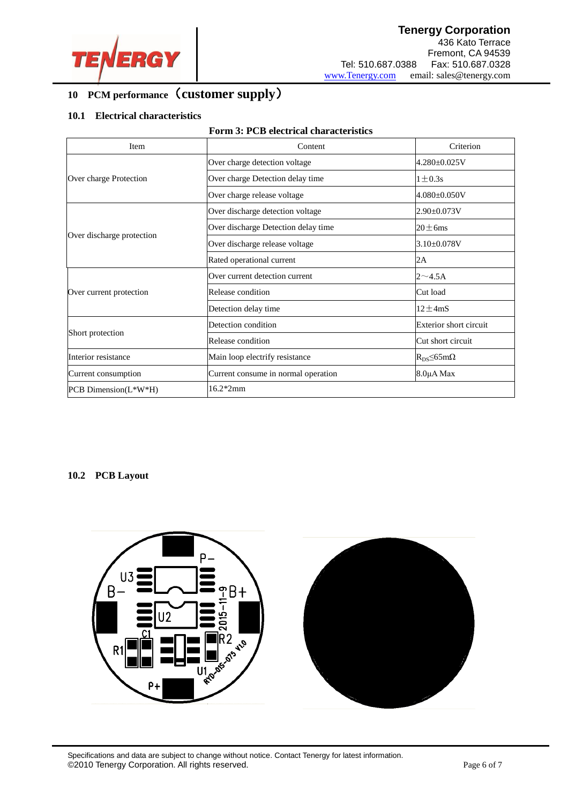

#### j **10 PCM performance**(**customer supply**)

#### **10.1 Electrical characteristics**

| Item                      | Content                             | Criterion                       |  |
|---------------------------|-------------------------------------|---------------------------------|--|
|                           | Over charge detection voltage       | 4.280±0.025V                    |  |
| Over charge Protection    | Over charge Detection delay time    | $1 \pm 0.3$ s                   |  |
|                           | Over charge release voltage         | $4.080 \pm 0.050 V$             |  |
|                           | Over discharge detection voltage    | $2.90 \pm 0.073 V$              |  |
|                           | Over discharge Detection delay time | $20 \pm 6$ ms                   |  |
| Over discharge protection | Over discharge release voltage      | $3.10\pm0.078V$                 |  |
|                           | Rated operational current           | 2A                              |  |
|                           | Over current detection current      | $2 \sim 4.5$ A                  |  |
| Over current protection   | Release condition                   | Cut load                        |  |
|                           | Detection delay time                | $12 \pm 4$ mS                   |  |
|                           | Detection condition                 | Exterior short circuit          |  |
| Short protection          | Release condition                   | Cut short circuit               |  |
| Interior resistance       | Main loop electrify resistance      | $R_{DS} \leq 65 \text{m}\Omega$ |  |
| Current consumption       | Current consume in normal operation | 8.0µA Max                       |  |
| PCB Dimension(L*W*H)      | 16.2*2mm                            |                                 |  |

#### **10.2 PCB Layout**